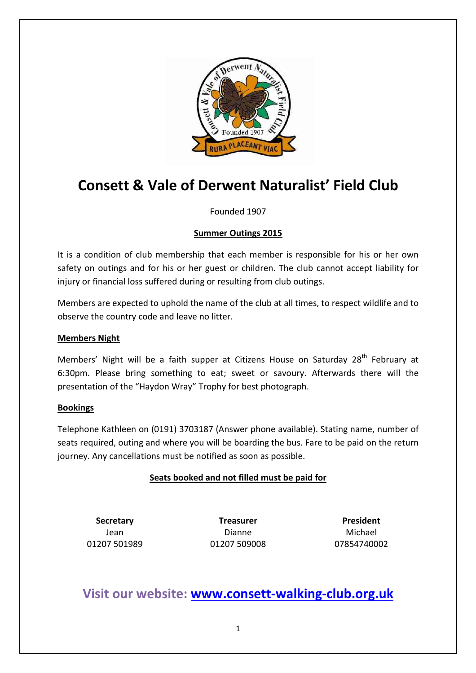

# Consett & Vale of Derwent Naturalist' Field Club

Founded 1907

# Summer Outings 2015

It is a condition of club membership that each member is responsible for his or her own safety on outings and for his or her guest or children. The club cannot accept liability for injury or financial loss suffered during or resulting from club outings.

Members are expected to uphold the name of the club at all times, to respect wildlife and to observe the country code and leave no litter.

#### Members Night

Members' Night will be a faith supper at Citizens House on Saturday 28<sup>th</sup> February at 6:30pm. Please bring something to eat; sweet or savoury. Afterwards there will the presentation of the "Haydon Wray" Trophy for best photograph.

#### Bookings

Telephone Kathleen on (0191) 3703187 (Answer phone available). Stating name, number of seats required, outing and where you will be boarding the bus. Fare to be paid on the return journey. Any cancellations must be notified as soon as possible.

# Seats booked and not filled must be paid for

01207 501989 01207 509008 07854740002

Secretary Treasurer President Jean Dianne Michael

# Visit our website: www.consett-walking-club.org.uk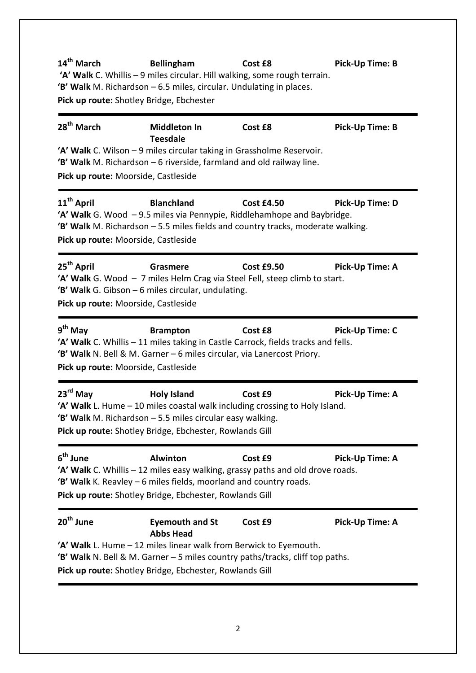| 14 <sup>th</sup> March | <b>Bellingham</b><br>'A' Walk C. Whillis - 9 miles circular. Hill walking, some rough terrain.<br>'B' Walk M. Richardson - 6.5 miles, circular. Undulating in places.<br>Pick up route: Shotley Bridge, Ebchester                                           | Cost £8           | Pick-Up Time: B |
|------------------------|-------------------------------------------------------------------------------------------------------------------------------------------------------------------------------------------------------------------------------------------------------------|-------------------|-----------------|
| 28 <sup>th</sup> March | <b>Middleton In</b><br><b>Teesdale</b><br>'A' Walk C. Wilson - 9 miles circular taking in Grassholme Reservoir.<br>'B' Walk M. Richardson - 6 riverside, farmland and old railway line.<br>Pick up route: Moorside, Castleside                              | Cost £8           | Pick-Up Time: B |
| 11 <sup>th</sup> April | <b>Blanchland</b><br>'A' Walk G. Wood -9.5 miles via Pennypie, Riddlehamhope and Baybridge.<br>'B' Walk M. Richardson - 5.5 miles fields and country tracks, moderate walking.<br>Pick up route: Moorside, Castleside                                       | <b>Cost £4.50</b> | Pick-Up Time: D |
| 25 <sup>th</sup> April | Grasmere<br>'A' Walk G. Wood - 7 miles Helm Crag via Steel Fell, steep climb to start.<br>'B' Walk G. Gibson - 6 miles circular, undulating.<br>Pick up route: Moorside, Castleside                                                                         | <b>Cost £9.50</b> | Pick-Up Time: A |
| $9th$ May              | <b>Brampton</b><br>'A' Walk C. Whillis - 11 miles taking in Castle Carrock, fields tracks and fells.<br>'B' Walk N. Bell & M. Garner - 6 miles circular, via Lanercost Priory.<br>Pick up route: Moorside, Castleside                                       | Cost £8           | Pick-Up Time: C |
| 23rd May               | <b>Holy Island</b><br>'A' Walk L. Hume - 10 miles coastal walk including crossing to Holy Island.<br><b>'B' Walk</b> M. Richardson $-5.5$ miles circular easy walking.<br>Pick up route: Shotley Bridge, Ebchester, Rowlands Gill                           | Cost £9           | Pick-Up Time: A |
| 6 <sup>th</sup> June   | <b>Alwinton</b><br>'A' Walk C. Whillis – 12 miles easy walking, grassy paths and old drove roads.<br>'B' Walk K. Reavley – 6 miles fields, moorland and country roads.<br>Pick up route: Shotley Bridge, Ebchester, Rowlands Gill                           | Cost £9           | Pick-Up Time: A |
| 20 <sup>th</sup> June  | <b>Eyemouth and St</b><br><b>Abbs Head</b><br>'A' Walk L. Hume - 12 miles linear walk from Berwick to Eyemouth.<br>'B' Walk N. Bell & M. Garner - 5 miles country paths/tracks, cliff top paths.<br>Pick up route: Shotley Bridge, Ebchester, Rowlands Gill | Cost £9           | Pick-Up Time: A |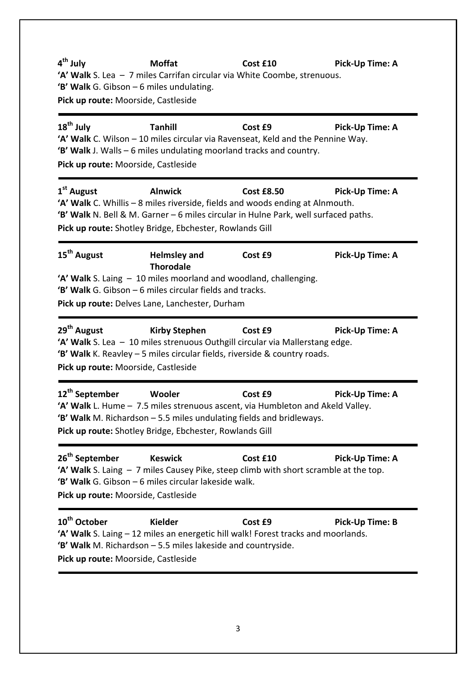4<sup>th</sup> July Moffat Cost £10 Pick-Up Time: A 'A' Walk S. Lea – 7 miles Carrifan circular via White Coombe, strenuous. 'B' Walk G. Gibson – 6 miles undulating. Pick up route: Moorside, Castleside  $18<sup>th</sup>$  July Tanhill **Cost £9** Pick-Up Time: A 'A' Walk C. Wilson – 10 miles circular via Ravenseat, Keld and the Pennine Way. 'B' Walk J. Walls – 6 miles undulating moorland tracks and country. Pick up route: Moorside, Castleside 1<sup>st</sup> August Alnwick Cost £8.50 Pick-Up Time: A 'A' Walk C. Whillis – 8 miles riverside, fields and woods ending at Alnmouth. 'B' Walk N. Bell & M. Garner – 6 miles circular in Hulne Park, well surfaced paths. Pick up route: Shotley Bridge, Ebchester, Rowlands Gill 15<sup>th</sup> August **Helmsley and** Thorodale Cost £9 Pick-Up Time: A 'A' Walk S. Laing – 10 miles moorland and woodland, challenging. 'B' Walk G. Gibson – 6 miles circular fields and tracks. Pick up route: Delves Lane, Lanchester, Durham 29<sup>th</sup> August Kirby Stephen Cost £9 Pick-Up Time: A 'A' Walk S. Lea – 10 miles strenuous Outhgill circular via Mallerstang edge. 'B' Walk K. Reavley – 5 miles circular fields, riverside & country roads. Pick up route: Moorside, Castleside 12<sup>th</sup> September Wooler Cost £9 Pick-Up Time: A 'A' Walk L. Hume – 7.5 miles strenuous ascent, via Humbleton and Akeld Valley. 'B' Walk M. Richardson – 5.5 miles undulating fields and bridleways. Pick up route: Shotley Bridge, Ebchester, Rowlands Gill 26<sup>th</sup> September Keswick Cost £10 Pick-Up Time: A 'A' Walk S. Laing – 7 miles Causey Pike, steep climb with short scramble at the top. 'B' Walk G. Gibson – 6 miles circular lakeside walk. Pick up route: Moorside, Castleside 10<sup>th</sup> October Kielder Cost £9 Pick-Up Time: B 'A' Walk S. Laing – 12 miles an energetic hill walk! Forest tracks and moorlands. 'B' Walk M. Richardson – 5.5 miles lakeside and countryside. Pick up route: Moorside, Castleside